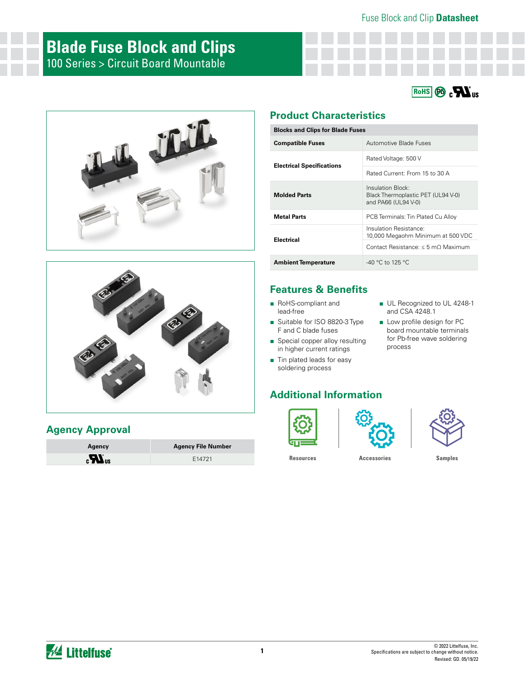





## **Agency Approval**

| Agency                         | <b>Agency File Number</b> |
|--------------------------------|---------------------------|
| $\boldsymbol{H}$ <sub>us</sub> | E14721                    |

# **Product Characteristics**

| <b>Blocks and Clips for Blade Fuses</b> |                                                                                |  |  |  |
|-----------------------------------------|--------------------------------------------------------------------------------|--|--|--|
| <b>Compatible Fuses</b>                 | Automotive Blade Fuses                                                         |  |  |  |
|                                         | Rated Voltage: 500 V                                                           |  |  |  |
| <b>Electrical Specifications</b>        | Rated Current: From 15 to 30 A                                                 |  |  |  |
| <b>Molded Parts</b>                     | Insulation Block:<br>Black Thermoplastic PET (UL94 V-0)<br>and PA66 (UL94 V-0) |  |  |  |
| <b>Metal Parts</b>                      | PCB Terminals: Tin Plated Cu Alloy                                             |  |  |  |
| <b>Electrical</b>                       | Insulation Resistance:<br>10,000 Megaohm Minimum at 500 VDC                    |  |  |  |
|                                         | Contact Resistance: < 5 mO Maximum                                             |  |  |  |
| <b>Ambient Temperature</b>              | $-40$ °C to 125 °C                                                             |  |  |  |

# **Features & Benefits**

- RoHS-compliant and lead-free
- Suitable for ISO 8820-3 Type F and C blade fuses
- Special copper alloy resulting in higher current ratings
- Tin plated leads for easy soldering process

# **Additional Information**







■ UL Recognized to UL 4248-1

and CSA 4248.1 ■ Low profile design for PC board mountable terminals for Pb-free wave soldering

process

**[Resources](https://www.littelfuse.com/products/fuse-blocks-fuseholders-and-fuse-accessories/fuse-clips/100#TechnicalResources) [Accessories](https://www.littelfuse.com/products/fuse-blocks-fuseholders-and-fuse-accessories/fuse-clips/100#EnvironmentalInfo) [Samples](https://www.littelfuse.com/products/fuse-blocks-fuseholders-and-fuse-accessories/fuse-clips/100#ElectricalCharacteristics)**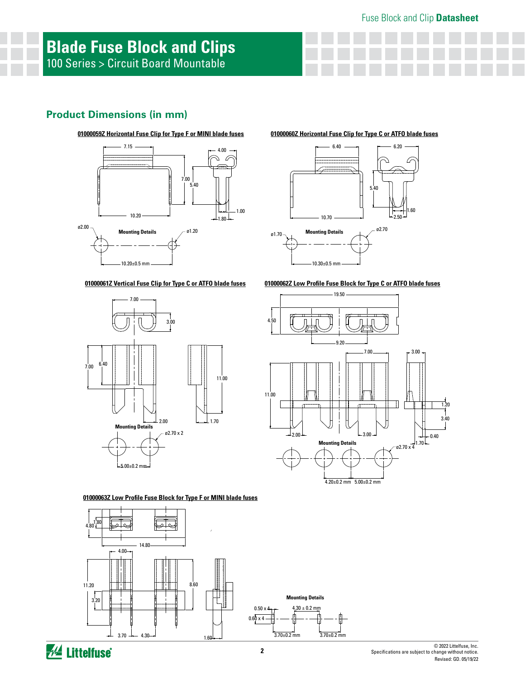## **Product Dimensions (in mm)**





#### **01000061Z Vertical Fuse Clip for Type C or ATFO blade fuses**



**01000063Z Low Profile Fuse Block for Type F or MINI blade fuses**



# **WA Littelfuse**

#### **01000059Z Horizontal Fuse Clip for Type F or MINI blade fuses 01000060Z Horizontal Fuse Clip for Type C or ATFO blade fuses**



**01000062Z Low Profile Fuse Block for Type C or ATFO blade fuses**

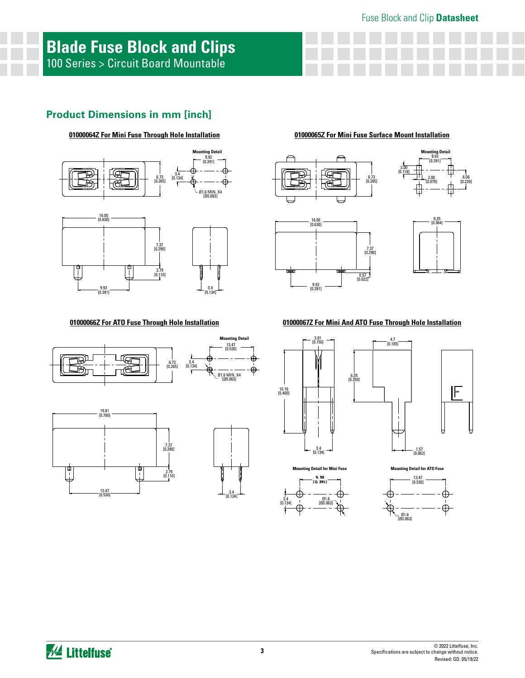# **Product Dimensions in mm [inch]**





#### **01000064Z For Mini Fuse Through Hole Installation 01000065Z For Mini Fuse Surface Mount Installation**









### **01000066Z For ATO Fuse Through Hole Installation**







#### **01000067Z For Mini And ATO Fuse Through Hole Installation**